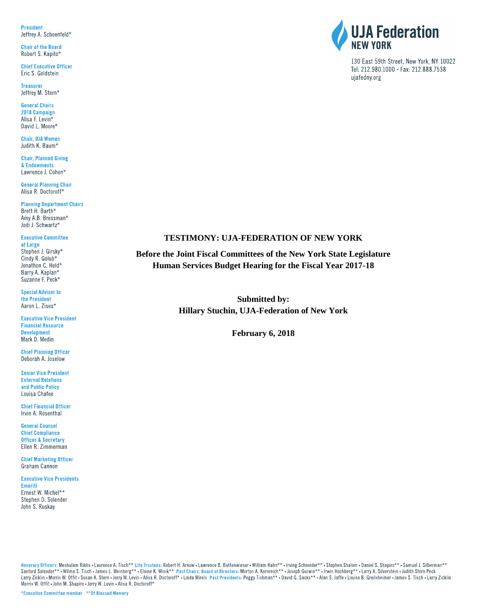**President** Jeffrey A. Schoenfeld\*

**Chair of the Board** Robert S. Kapito\*

**Chief Executive Officer** Eric S. Goldstein

**Treasurer** Jeffrey M. Stern\*

**General Chairs** 2018 Campaign Alisa F. Levin\* David L. Moore\*

**Chair, UJA Women** Judith K. Baum\*

**Chair, Planned Giving** & Endowments Lawrence J. Cohen\*

**General Planning Chair** Alisa R. Doctoroff\*

**Planning Department Chairs** Brett H. Barth\* Amy A.B. Bressman\* Jodi J. Schwartz\*

**Executive Committee** at Large Stephen J. Girsky\*

Cindy R. Golub\* Jonathon C. Held\* Barry A. Kaplan\* Suzanne F. Peck\*

**Special Advisor to** the President Aaron L. Zises\*

**Executive Vice President Financial Resource Development** Mark D. Medin

**Chief Planning Officer** Deborah A. Joselow

**Senior Vice President External Relations** and Public Policy Louisa Chafee

**Chief Financial Officer** Irvin A. Rosenthal

**General Counsel Chief Compliance Officer & Secretary** Ellen R. Zimmerman

**Chief Marketing Officer** Graham Cannon

**Executive Vice Presidents** Emeriti Ernest W. Michel\*\*

Stephen D. Solender John S. Ruskay



130 East 59th Street, New York, NY 10022 Tel: 212.980.1000 · Fax: 212.888.7538 ujafedny.org

#### **TESTIMONY: UJA-FEDERATION OF NEW YORK**

**Before the Joint Fiscal Committees of the New York State Legislature Human Services Budget Hearing for the Fiscal Year 2017-18**

> **Submitted by: Hillary Stuchin, UJA-Federation of New York**

> > **February 6, 2018**

Honorary Officers: Meshulam Riklis • Laurence A. Tisch\*\* Life Trustees: Robert H. Arnow • Lawrence B. Buttenwieser • William Kahn\*\* • Irving Schneider\*\* • Stephen Shalom • Daniel S. Shapiro\*\* • Samuel J. Silberman\*\* Sanford Solender\*\* • Wilma S. Tisch • James L. Weinberg\*\* • Elaine K. Winik\*\* Past Chairs, Board of Directors: Morton A. Kornreich\*\* • Joseph Gurwin\*\* • Irwin Hochberg\*\* • Larry A. Silverstein • Judith Stern Peck Larry Zicklin . Morris W. Offit . Susan K. Stern . Jerry W. Levin . Alisa R. Doctoroff\* . Linda Mirels Past Presidents: Peggy Tishman\*\* . David G. Sacks\*\* . Alan S. Jaffe . Louise B. Greilsheimer . James S. Tisch . Larry Z Morris W. Offit . John M. Shapiro . Jerry W. Levin . Alisa R. Doctoroff\*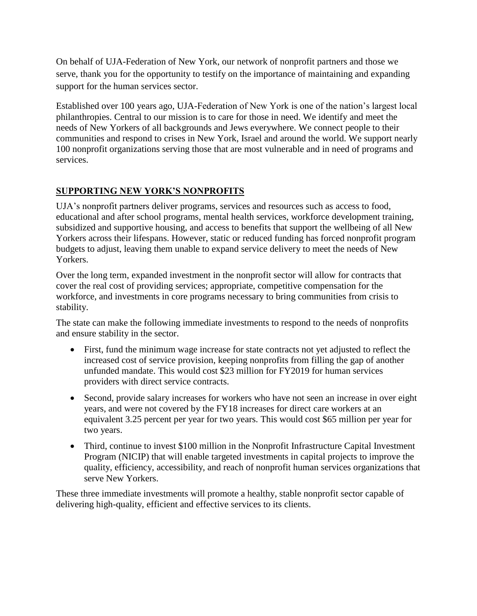On behalf of UJA-Federation of New York, our network of nonprofit partners and those we serve, thank you for the opportunity to testify on the importance of maintaining and expanding support for the human services sector.

Established over 100 years ago, UJA-Federation of New York is one of the nation's largest local philanthropies. Central to our mission is to care for those in need. We identify and meet the needs of New Yorkers of all backgrounds and Jews everywhere. We connect people to their communities and respond to crises in New York, Israel and around the world. We support nearly 100 nonprofit organizations serving those that are most vulnerable and in need of programs and services.

# **SUPPORTING NEW YORK'S NONPROFITS**

UJA's nonprofit partners deliver programs, services and resources such as access to food, educational and after school programs, mental health services, workforce development training, subsidized and supportive housing, and access to benefits that support the wellbeing of all New Yorkers across their lifespans. However, static or reduced funding has forced nonprofit program budgets to adjust, leaving them unable to expand service delivery to meet the needs of New Yorkers.

Over the long term, expanded investment in the nonprofit sector will allow for contracts that cover the real cost of providing services; appropriate, competitive compensation for the workforce, and investments in core programs necessary to bring communities from crisis to stability.

The state can make the following immediate investments to respond to the needs of nonprofits and ensure stability in the sector.

- First, fund the minimum wage increase for state contracts not yet adjusted to reflect the increased cost of service provision, keeping nonprofits from filling the gap of another unfunded mandate. This would cost \$23 million for FY2019 for human services providers with direct service contracts.
- Second, provide salary increases for workers who have not seen an increase in over eight years, and were not covered by the FY18 increases for direct care workers at an equivalent 3.25 percent per year for two years. This would cost \$65 million per year for two years.
- Third, continue to invest \$100 million in the Nonprofit Infrastructure Capital Investment Program (NICIP) that will enable targeted investments in capital projects to improve the quality, efficiency, accessibility, and reach of nonprofit human services organizations that serve New Yorkers.

These three immediate investments will promote a healthy, stable nonprofit sector capable of delivering high-quality, efficient and effective services to its clients.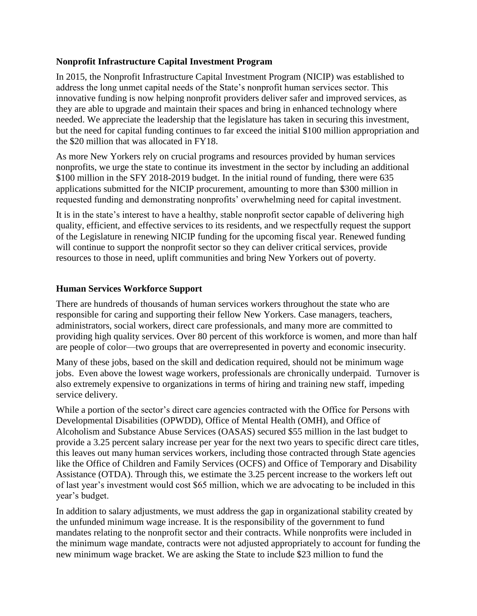#### **Nonprofit Infrastructure Capital Investment Program**

In 2015, the Nonprofit Infrastructure Capital Investment Program (NICIP) was established to address the long unmet capital needs of the State's nonprofit human services sector. This innovative funding is now helping nonprofit providers deliver safer and improved services, as they are able to upgrade and maintain their spaces and bring in enhanced technology where needed. We appreciate the leadership that the legislature has taken in securing this investment, but the need for capital funding continues to far exceed the initial \$100 million appropriation and the \$20 million that was allocated in FY18.

As more New Yorkers rely on crucial programs and resources provided by human services nonprofits, we urge the state to continue its investment in the sector by including an additional \$100 million in the SFY 2018-2019 budget. In the initial round of funding, there were 635 applications submitted for the NICIP procurement, amounting to more than \$300 million in requested funding and demonstrating nonprofits' overwhelming need for capital investment.

It is in the state's interest to have a healthy, stable nonprofit sector capable of delivering high quality, efficient, and effective services to its residents, and we respectfully request the support of the Legislature in renewing NICIP funding for the upcoming fiscal year. Renewed funding will continue to support the nonprofit sector so they can deliver critical services, provide resources to those in need, uplift communities and bring New Yorkers out of poverty.

#### **Human Services Workforce Support**

There are hundreds of thousands of human services workers throughout the state who are responsible for caring and supporting their fellow New Yorkers. Case managers, teachers, administrators, social workers, direct care professionals, and many more are committed to providing high quality services. Over 80 percent of this workforce is women, and more than half are people of color—two groups that are overrepresented in poverty and economic insecurity.

Many of these jobs, based on the skill and dedication required, should not be minimum wage jobs. Even above the lowest wage workers, professionals are chronically underpaid. Turnover is also extremely expensive to organizations in terms of hiring and training new staff, impeding service delivery.

While a portion of the sector's direct care agencies contracted with the Office for Persons with Developmental Disabilities (OPWDD), Office of Mental Health (OMH), and Office of Alcoholism and Substance Abuse Services (OASAS) secured \$55 million in the last budget to provide a 3.25 percent salary increase per year for the next two years to specific direct care titles, this leaves out many human services workers, including those contracted through State agencies like the Office of Children and Family Services (OCFS) and Office of Temporary and Disability Assistance (OTDA). Through this, we estimate the 3.25 percent increase to the workers left out of last year's investment would cost \$65 million, which we are advocating to be included in this year's budget.

In addition to salary adjustments, we must address the gap in organizational stability created by the unfunded minimum wage increase. It is the responsibility of the government to fund mandates relating to the nonprofit sector and their contracts. While nonprofits were included in the minimum wage mandate, contracts were not adjusted appropriately to account for funding the new minimum wage bracket. We are asking the State to include \$23 million to fund the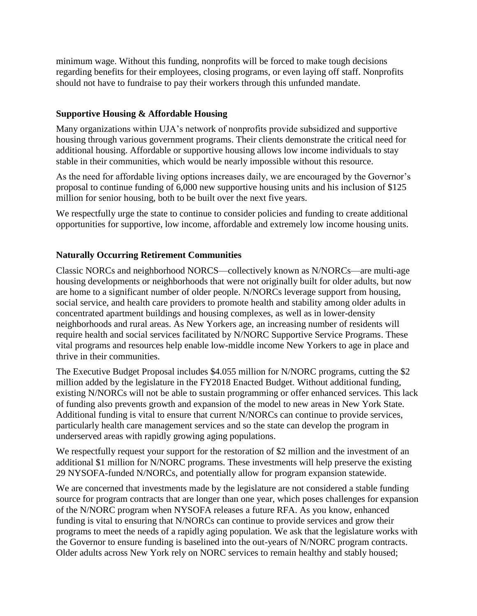minimum wage. Without this funding, nonprofits will be forced to make tough decisions regarding benefits for their employees, closing programs, or even laying off staff. Nonprofits should not have to fundraise to pay their workers through this unfunded mandate.

### **Supportive Housing & Affordable Housing**

Many organizations within UJA's network of nonprofits provide subsidized and supportive housing through various government programs. Their clients demonstrate the critical need for additional housing. Affordable or supportive housing allows low income individuals to stay stable in their communities, which would be nearly impossible without this resource.

As the need for affordable living options increases daily, we are encouraged by the Governor's proposal to continue funding of 6,000 new supportive housing units and his inclusion of \$125 million for senior housing, both to be built over the next five years.

We respectfully urge the state to continue to consider policies and funding to create additional opportunities for supportive, low income, affordable and extremely low income housing units.

## **Naturally Occurring Retirement Communities**

Classic NORCs and neighborhood NORCS—collectively known as N/NORCs—are multi-age housing developments or neighborhoods that were not originally built for older adults, but now are home to a significant number of older people. N/NORCs leverage support from housing, social service, and health care providers to promote health and stability among older adults in concentrated apartment buildings and housing complexes, as well as in lower-density neighborhoods and rural areas. As New Yorkers age, an increasing number of residents will require health and social services facilitated by N/NORC Supportive Service Programs. These vital programs and resources help enable low-middle income New Yorkers to age in place and thrive in their communities.

The Executive Budget Proposal includes \$4.055 million for N/NORC programs, cutting the \$2 million added by the legislature in the FY2018 Enacted Budget. Without additional funding, existing N/NORCs will not be able to sustain programming or offer enhanced services. This lack of funding also prevents growth and expansion of the model to new areas in New York State. Additional funding is vital to ensure that current N/NORCs can continue to provide services, particularly health care management services and so the state can develop the program in underserved areas with rapidly growing aging populations.

We respectfully request your support for the restoration of \$2 million and the investment of an additional \$1 million for N/NORC programs. These investments will help preserve the existing 29 NYSOFA-funded N/NORCs, and potentially allow for program expansion statewide.

We are concerned that investments made by the legislature are not considered a stable funding source for program contracts that are longer than one year, which poses challenges for expansion of the N/NORC program when NYSOFA releases a future RFA. As you know, enhanced funding is vital to ensuring that N/NORCs can continue to provide services and grow their programs to meet the needs of a rapidly aging population. We ask that the legislature works with the Governor to ensure funding is baselined into the out-years of N/NORC program contracts. Older adults across New York rely on NORC services to remain healthy and stably housed;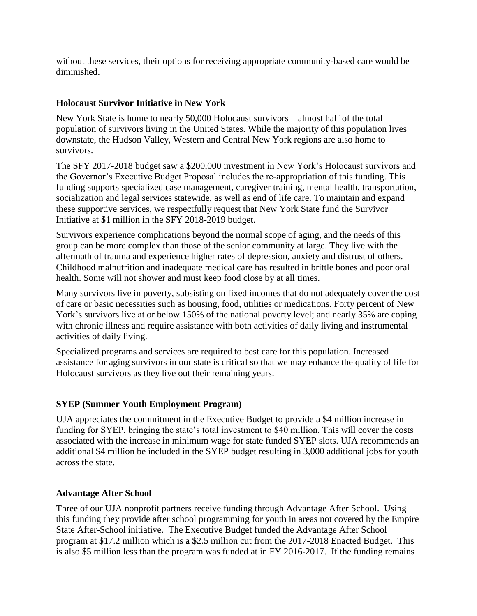without these services, their options for receiving appropriate community-based care would be diminished.

#### **Holocaust Survivor Initiative in New York**

New York State is home to nearly 50,000 Holocaust survivors—almost half of the total population of survivors living in the United States. While the majority of this population lives downstate, the Hudson Valley, Western and Central New York regions are also home to survivors.

The SFY 2017-2018 budget saw a \$200,000 investment in New York's Holocaust survivors and the Governor's Executive Budget Proposal includes the re-appropriation of this funding. This funding supports specialized case management, caregiver training, mental health, transportation, socialization and legal services statewide, as well as end of life care. To maintain and expand these supportive services, we respectfully request that New York State fund the Survivor Initiative at \$1 million in the SFY 2018-2019 budget.

Survivors experience complications beyond the normal scope of aging, and the needs of this group can be more complex than those of the senior community at large. They live with the aftermath of trauma and experience higher rates of depression, anxiety and distrust of others. Childhood malnutrition and inadequate medical care has resulted in brittle bones and poor oral health. Some will not shower and must keep food close by at all times.

Many survivors live in poverty, subsisting on fixed incomes that do not adequately cover the cost of care or basic necessities such as housing, food, utilities or medications. Forty percent of New York's survivors live at or below 150% of the national poverty level; and nearly 35% are coping with chronic illness and require assistance with both activities of daily living and instrumental activities of daily living.

Specialized programs and services are required to best care for this population. Increased assistance for aging survivors in our state is critical so that we may enhance the quality of life for Holocaust survivors as they live out their remaining years.

### **SYEP (Summer Youth Employment Program)**

UJA appreciates the commitment in the Executive Budget to provide a \$4 million increase in funding for SYEP, bringing the state's total investment to \$40 million. This will cover the costs associated with the increase in minimum wage for state funded SYEP slots. UJA recommends an additional \$4 million be included in the SYEP budget resulting in 3,000 additional jobs for youth across the state.

#### **Advantage After School**

Three of our UJA nonprofit partners receive funding through Advantage After School. Using this funding they provide after school programming for youth in areas not covered by the Empire State After-School initiative. The Executive Budget funded the Advantage After School program at \$17.2 million which is a \$2.5 million cut from the 2017-2018 Enacted Budget. This is also \$5 million less than the program was funded at in FY 2016-2017. If the funding remains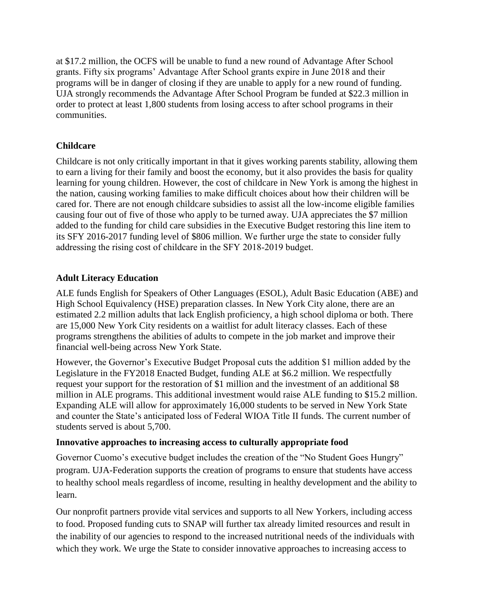at \$17.2 million, the OCFS will be unable to fund a new round of Advantage After School grants. Fifty six programs' Advantage After School grants expire in June 2018 and their programs will be in danger of closing if they are unable to apply for a new round of funding. UJA strongly recommends the Advantage After School Program be funded at \$22.3 million in order to protect at least 1,800 students from losing access to after school programs in their communities.

## **Childcare**

Childcare is not only critically important in that it gives working parents stability, allowing them to earn a living for their family and boost the economy, but it also provides the basis for quality learning for young children. However, the cost of childcare in New York is among the highest in the nation, causing working families to make difficult choices about how their children will be cared for. There are not enough childcare subsidies to assist all the low-income eligible families causing four out of five of those who apply to be turned away. UJA appreciates the \$7 million added to the funding for child care subsidies in the Executive Budget restoring this line item to its SFY 2016-2017 funding level of \$806 million. We further urge the state to consider fully addressing the rising cost of childcare in the SFY 2018-2019 budget.

### **Adult Literacy Education**

ALE funds English for Speakers of Other Languages (ESOL), Adult Basic Education (ABE) and High School Equivalency (HSE) preparation classes. In New York City alone, there are an estimated 2.2 million adults that lack English proficiency, a high school diploma or both. There are 15,000 New York City residents on a waitlist for adult literacy classes. Each of these programs strengthens the abilities of adults to compete in the job market and improve their financial well-being across New York State.

However, the Governor's Executive Budget Proposal cuts the addition \$1 million added by the Legislature in the FY2018 Enacted Budget, funding ALE at \$6.2 million. We respectfully request your support for the restoration of \$1 million and the investment of an additional \$8 million in ALE programs. This additional investment would raise ALE funding to \$15.2 million. Expanding ALE will allow for approximately 16,000 students to be served in New York State and counter the State's anticipated loss of Federal WIOA Title II funds. The current number of students served is about 5,700.

### **Innovative approaches to increasing access to culturally appropriate food**

Governor Cuomo's executive budget includes the creation of the "No Student Goes Hungry" program. UJA-Federation supports the creation of programs to ensure that students have access to healthy school meals regardless of income, resulting in healthy development and the ability to learn.

Our nonprofit partners provide vital services and supports to all New Yorkers, including access to food. Proposed funding cuts to SNAP will further tax already limited resources and result in the inability of our agencies to respond to the increased nutritional needs of the individuals with which they work. We urge the State to consider innovative approaches to increasing access to